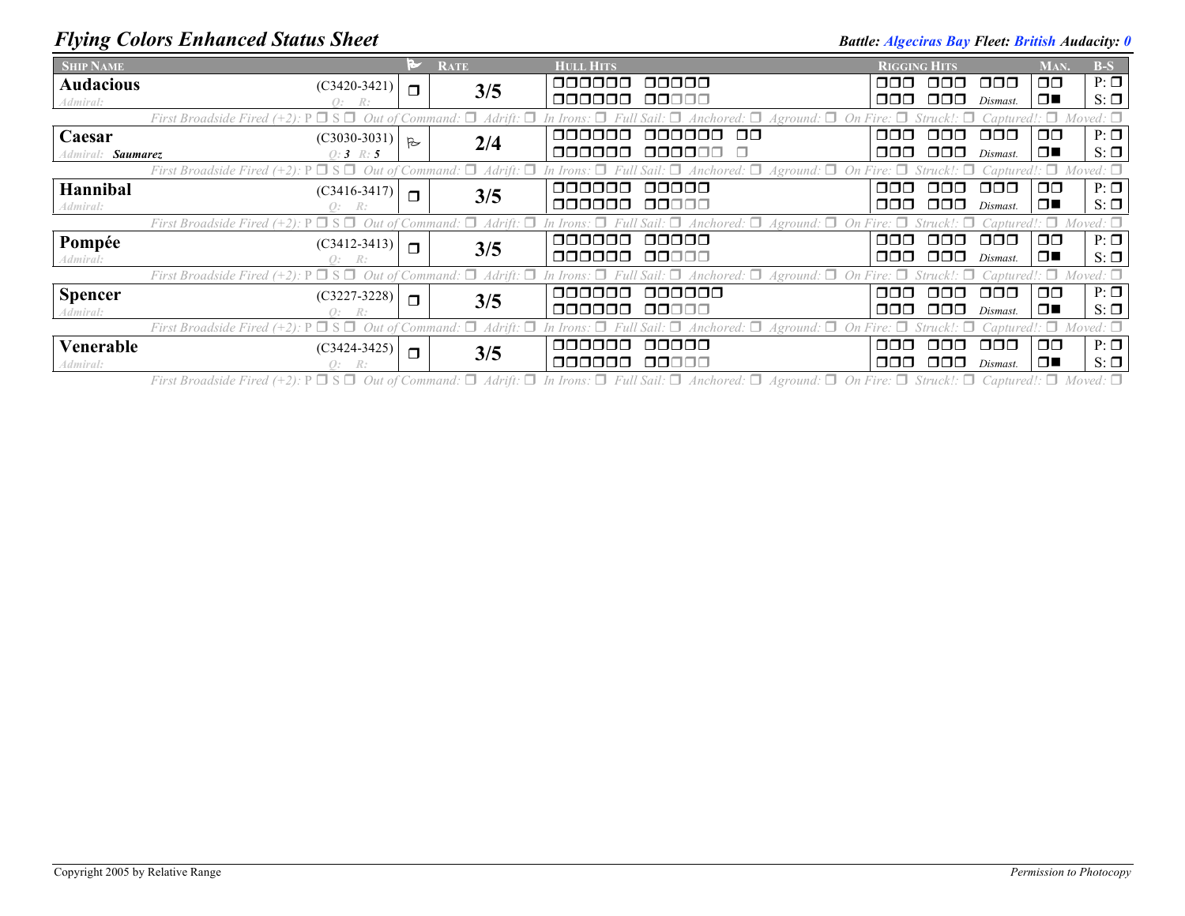## *Flying Colors Enhanced Status Sheet* **Battle:** *Battle: Algeciras Bay Fleet: British Audacity: 0*

| <b>SHIP NAME</b>                                                                                                                                                                                                                                       |                |                | <b>RATE</b> | <b>HULL HITS</b> |           | <b>RIGGING HITS</b> |      |                      | MAN.          | $B-S$     |
|--------------------------------------------------------------------------------------------------------------------------------------------------------------------------------------------------------------------------------------------------------|----------------|----------------|-------------|------------------|-----------|---------------------|------|----------------------|---------------|-----------|
| <b>Audacious</b>                                                                                                                                                                                                                                       | $(C3420-3421)$ | $\Box$         | 3/5         | noonoo           | 00000     | ⊓⊓⊓                 | nnn. | $\Box$ $\Box$        | $\Box$ $\Box$ | $P: \Box$ |
| Admiral:                                                                                                                                                                                                                                               | Q: R:          |                |             | 000000           | 00000     | ⊓⊓⊓                 | 000  | Dismast.             | $\Box$        | $S: \Box$ |
| $\Box$ Anchored: $\Box$ Aground: $\Box$ On Fire: $\Box$<br>Moved: $\square$<br>Out of Command: $\Box$ Adrift: $\Box$<br>First Broadside Fired $(+2)$ : $P \Box S \Box$<br>$Struck \cdot \Box$<br>In Irons: $\Box$<br>$Captured$ : $\Box$               |                |                |             |                  |           |                     |      |                      |               |           |
| Caesar                                                                                                                                                                                                                                                 | $(C3030-3031)$ | $\overline{R}$ | 2/4         | nnnnnn           | aaaaaa aa | 000                 | nnn. | 000                  | $\Box$ $\Box$ | $P: \Box$ |
| Admiral: <b>Saumarez</b>                                                                                                                                                                                                                               | $0:3 \; R:5$   |                |             | 000000           | 000000 O  | 000                 | 000. | Dismast.             | $\Box$        | $S: \Box$ |
| First Broadside Fired (+2): $P \Box S \Box$ Out of Command: $\Box$ Adrift: $\Box$ In Irons: $\Box$<br>Captured!: $\Box$ Moved: $\Box$<br>Sail: $\Box$ Anchored: $\Box$ Aground: $\Box$ On Fire: $\Box$ Struck!: $\Box$                                 |                |                |             |                  |           |                     |      |                      |               |           |
| Hannibal                                                                                                                                                                                                                                               | $(C3416-3417)$ | $\Box$         | 3/5         | 000000           | 00000     | 000                 | ⊓⊓⊓  | $\Box$ $\Box$        | $\Box$ $\Box$ | $P: \Box$ |
| Admiral:                                                                                                                                                                                                                                               | O: R:          |                |             | 000000           | 00000     | 000                 | 000. | Dismast.             | ▁▁▁           | $S: \Box$ |
| First Broadside Fired (+2): $P \Box S \Box$ Out of Command: $\Box$ Adrift: $\Box$<br>Sail: $\Box$ Anchored: $\Box$ Aground: $\Box$ On Fire: $\Box$<br>Moved: $\Box$<br>$\Box$ aptured!: $\Box$<br>In Irons:                                            |                |                |             |                  |           |                     |      |                      |               |           |
| Pompée                                                                                                                                                                                                                                                 | $(C3412-3413)$ | $\Box$         | 3/5         | aaaaaa           | 00000     | ooo                 | nnn. | OOO                  | $\Box$ $\Box$ | $P: \Box$ |
| Admiral:                                                                                                                                                                                                                                               | O: R:          |                |             | 000000           | 00000     | 000                 | 000  | Dismast.             | 1 O E I       | $S: \Box$ |
| $Captured$ : $\Box$ Moved: $\Box$<br>First Broadside Fired (+2): $P \Box S \Box$ Out of Command: $\Box$ Adrift: $\Box$ In Irons: $\Box$ Full Sail: $\Box$ Anchored: $\Box$ Aground: $\Box$ On Fire: $\Box$ Struck!: $\Box$                             |                |                |             |                  |           |                     |      |                      |               |           |
| <b>Spencer</b>                                                                                                                                                                                                                                         | $(C3227-3228)$ | $\Box$         | 3/5         | 000000           | 000000    | ooo                 | OOO. | 000                  | $\Box$ $\Box$ | $P: \Box$ |
| Admiral:                                                                                                                                                                                                                                               | R:             |                |             | 000000           | 00000     | OOO                 | 000  | Dismast.             | $\Box$        | $S: \Box$ |
| Captured!: $\Box$ Moved: $\Box$<br>First Broadside Fired (+2): $P \square S \square$ Out of Command: $\square$ Adrift: $\square$ In Irons: $\square$ Full Sail: $\square$ Anchored: $\square$ Aground: $\square$ On Fire: $\square$ Struck!: $\square$ |                |                |             |                  |           |                     |      |                      |               |           |
| Venerable                                                                                                                                                                                                                                              | $(C3424-3425)$ | $\Box$         | 3/5         | nnnnn            | 00000     | ooo                 | ∩∩∩  | $\Box$ $\Box$ $\Box$ | $\Box$ $\Box$ | $P: \Box$ |
| Admiral:                                                                                                                                                                                                                                               | O: R:          |                |             | 000000           | 00000     | 000                 | 000. | Dismast.             | $\Box$        | $S: \Box$ |

First Broadside Fired (+2):  $P \Box S \Box$  Out of Command:  $\Box$  Adrift:  $\Box$  In Irons:  $\Box$  Full Sail:  $\Box$  Anchored:  $\Box$  Aground:  $\Box$  On Fire:  $\Box$  Struck!:  $\Box$  Captured!:  $\Box$  Moved:  $\Box$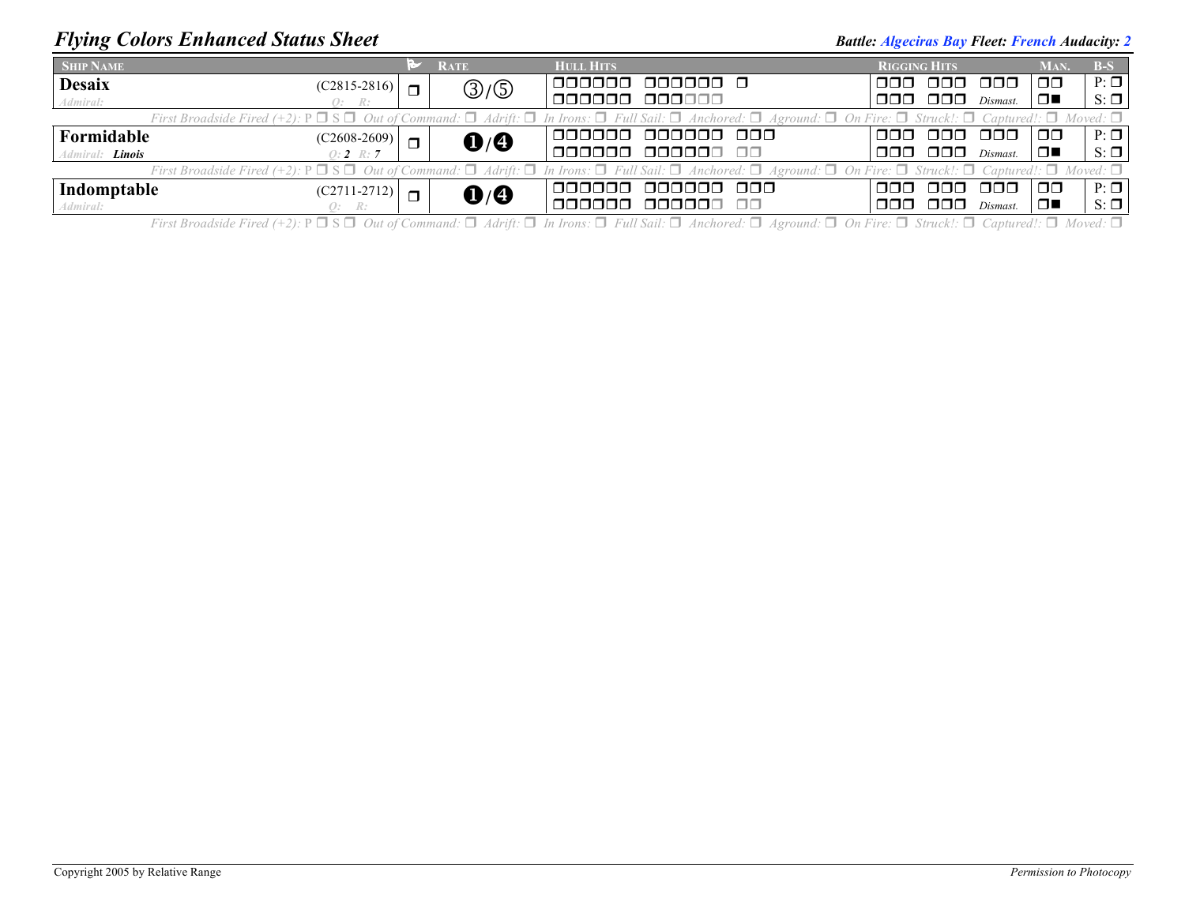## *Flying Colors Enhanced Status Sheet* **Battle:** *Battle: Algeciras Bay Fleet: French Audacity: 2 Battle: Algeciras Bay Fleet: French Audacity: 2*

| <b>SHIP NAME</b>                                                                                                                                                                                                      |                | <b>RATE</b>                       | <b>HULL HITS</b>               | <b>RIGGING HITS</b> |               |          | Man.          | $B-S$     |  |
|-----------------------------------------------------------------------------------------------------------------------------------------------------------------------------------------------------------------------|----------------|-----------------------------------|--------------------------------|---------------------|---------------|----------|---------------|-----------|--|
| <b>Desaix</b><br>$(C2815-2816)$                                                                                                                                                                                       | $\blacksquare$ | $\textcircled{3}/\textcircled{5}$ | 1 aaaaaa<br>000000 Q           | ooo k               | 000 000       |          | $\Box$        | $P: \Box$ |  |
| Admiral:<br>O: R:                                                                                                                                                                                                     |                |                                   | 000000 000000                  | 000-                | 000           | Dismast. | $\Box$        | $S: \Box$ |  |
| First Broadside Fired (+2): $P \Box S \Box$ Out of Command: $\Box$ Adrift: $\Box$ In Irons: $\Box$ Full Sail: $\Box$ Anchored: $\Box$ Aground: $\Box$ On Fire: $\Box$ Struck!: $\Box$ Captured!: $\Box$ Moved: $\Box$ |                |                                   |                                |                     |               |          |               |           |  |
| Formidable<br>$(C2608-2609)$                                                                                                                                                                                          | $\Box$         | $\mathbf{0}/\mathbf{0}$           | 1000000 000000 000             | ooo l               | -000-000      |          | $\Box$ $\Box$ | $P: \Box$ |  |
| Admiral: <b>Linois</b><br>0: $2 R: 7$                                                                                                                                                                                 |                |                                   | 1000000 000000 00              |                     | 000 000       | Dismast. | $\Box$        | $S: \Box$ |  |
| First Broadside Fired (+2): $P \Box S \Box$ Out of Command: $\Box$ Adrift: $\Box$ In Irons: $\Box$ Full Sail: $\Box$ Anchored: $\Box$ Aground: $\Box$ On Fire: $\Box$ Struck!: $\Box$ Captured!: $\Box$ Moved: $\Box$ |                |                                   |                                |                     |               |          |               |           |  |
| Indomptable<br>$(C2711-2712)$                                                                                                                                                                                         | $\blacksquare$ | $\mathbf{O}/\mathbf{O}$           | IOOOOOO OOOOOO OOO             | ooo k               | -000-000      |          | $\Box$ $\Box$ | $P: \Box$ |  |
| Admiral:<br>Q: R:                                                                                                                                                                                                     |                |                                   | 000000 00<br><u> 100000 - </u> | 000-                | $\Box$ $\Box$ | Dismast. | $\Box$        | $S: \Box$ |  |

First Broadside Fired (+2): P  $\Box$  S  $\Box$  Out of Command:  $\Box$  Adrift:  $\Box$  In Irons:  $\Box$  Full Sail:  $\Box$  Anchored:  $\Box$  Aground:  $\Box$  On Fire:  $\Box$  Struck!:  $\Box$  Captured!:  $\Box$  Moved:  $\Box$